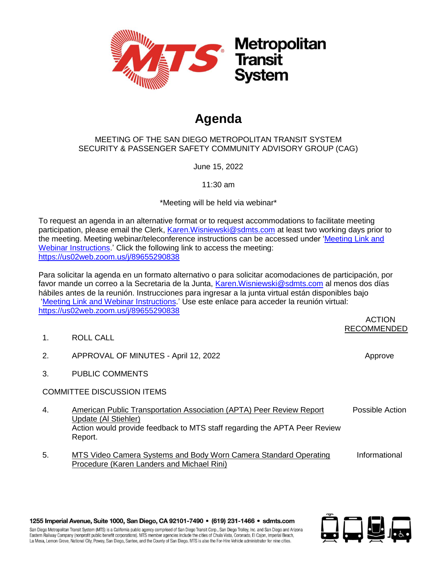

# **Agenda**

#### MEETING OF THE SAN DIEGO METROPOLITAN TRANSIT SYSTEM SECURITY & PASSENGER SAFETY COMMUNITY ADVISORY GROUP (CAG)

June 15, 2022

11:30 am

\*Meeting will be held via webinar\*

To request an agenda in an alternative format or to request accommodations to facilitate meeting participation, please email the Clerk, [Karen.Wisniewski@sdmts.com](mailto:Karen.Wisniewski@sdmts.com) at least two working days prior to the meeting. Meeting webinar/teleconference instructions can be accessed under ['Meeting Link and](https://www.sdmts.com/about-mts-meetings-and-agendas/other-committee)  [Webinar Instructions.](https://www.sdmts.com/about-mts-meetings-and-agendas/other-committee)' Click the following link to access the meeting: <https://us02web.zoom.us/j/89655290838>

Para solicitar la agenda en un formato alternativo o para solicitar acomodaciones de participación, por favor mande un correo a la Secretaria de la Junta, [Karen.Wisniewski@sdmts.com](mailto:Karen.Wisniewski@sdmts.com) al menos dos días hábiles antes de la reunión. Instrucciones para ingresar a la junta virtual están disponibles bajo ['Meeting Link and Webinar Instructions.](https://www.sdmts.com/about-mts-meetings-and-agendas/other-committee)' Use este enlace para acceder la reunión virtual: <https://us02web.zoom.us/j/89655290838>

#### ACTION RECOMMENDED

- 1. ROLL CALL
- 2. APPROVAL OF MINUTES April 12, 2022 Approve Approve
- 3. PUBLIC COMMENTS

## COMMITTEE DISCUSSION ITEMS

- 4. American Public Transportation Association (APTA) Peer Review Report Update (Al Stiehler) Possible Action Action would provide feedback to MTS staff regarding the APTA Peer Review Report.
- 5. MTS Video Camera Systems and Body Worn Camera Standard Operating Procedure (Karen Landers and Michael Rini) Informational

1255 Imperial Avenue, Suite 1000, San Diego, CA 92101-7490 · (619) 231-1466 · sdmts.com

San Diego Metropolitan Transit System (MTS) is a California public agency comprised of San Diego Transit Corp., San Diego Trolley, Inc. and San Diego and Arizona Eastern Railway Company (nonprofit public benefit corporations). MTS member agencies include the cities of Chula Vista, Coronado, El Cajon, Imperial Beach, La Mesa, Lemon Grove, National City, Poway, San Diego, Santee, and the County of San Diego. MTS is also the For-Hire Vehicle administrator for nine cities.